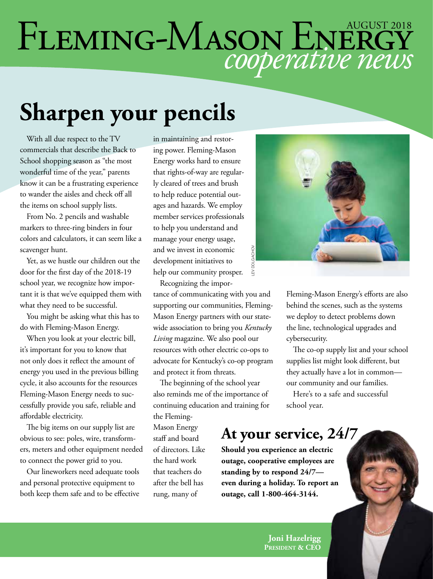# *cooperative news* FLEMING-MASON ENERGY

# **Sharpen your pencils**

With all due respect to the TV commercials that describe the Back to School shopping season as "the most wonderful time of the year," parents know it can be a frustrating experience to wander the aisles and check off all the items on school supply lists.

From No. 2 pencils and washable markers to three-ring binders in four colors and calculators, it can seem like a scavenger hunt.

Yet, as we hustle our children out the door for the first day of the 2018-19 school year, we recognize how important it is that we've equipped them with what they need to be successful.

You might be asking what this has to do with Fleming-Mason Energy.

When you look at your electric bill, it's important for you to know that not only does it reflect the amount of energy you used in the previous billing cycle, it also accounts for the resources Fleming-Mason Energy needs to successfully provide you safe, reliable and affordable electricity.

The big items on our supply list are obvious to see: poles, wire, transformers, meters and other equipment needed to connect the power grid to you.

Our lineworkers need adequate tools and personal protective equipment to both keep them safe and to be effective in maintaining and restoring power. Fleming-Mason Energy works hard to ensure that rights-of-way are regularly cleared of trees and brush to help reduce potential outages and hazards. We employ member services professionals to help you understand and manage your energy usage, and we invest in economic development initiatives to help our community prosper.

Recognizing the importance of communicating with you and supporting our communities, Fleming-Mason Energy partners with our statewide association to bring you *Kentucky Living* magazine. We also pool our resources with other electric co-ops to advocate for Kentucky's co-op program and protect it from threats.

The beginning of the school year also reminds me of the importance of continuing education and training for the Fleming-

Mason Energy staff and board of directors. Like the hard work that teachers do after the bell has rung, many of



Fleming-Mason Energy's efforts are also behind the scenes, such as the systems we deploy to detect problems down the line, technological upgrades and cybersecurity.

The co-op supply list and your school supplies list might look different, but they actually have a lot in common our community and our families.

Here's to a safe and successful school year.

#### **At your service, 24/7**

**Should you experience an electric outage, cooperative employees are standing by to respond 24/7 even during a holiday. To report an**  bounding the set of the set of the set of the set of the set of the set of the set of the set of the set of the set of the set of the set of the set of the set of the set of the set of the set of the set of the set of the

> **Joni Hazelrigg President & CEO**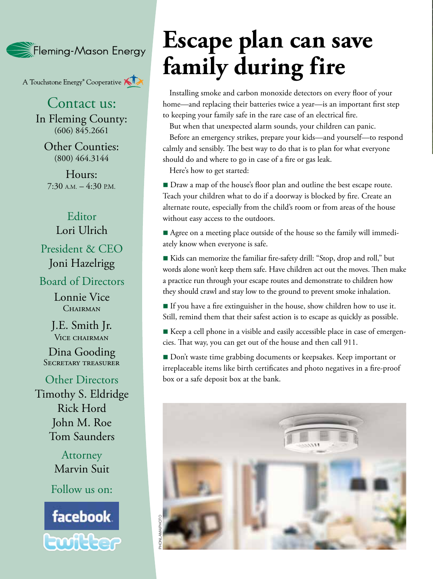**Steming-Mason Energy** 

A Touchstone Energy<sup>®</sup> Cooperative

Contact us: In Fleming County: (606) 845.2661

Other Counties: (800) 464.3144

Hours: 7:30 A.M. – 4:30 P.M.

#### Editor Lori Ulrich

President & CEO Joni Hazelrigg

Board of Directors

Lonnie Vice CHAIRMAN

J.E. Smith Jr. VICE CHAIRMAN

Dina Gooding SECRETARY TREASURER

Other Directors Timothy S. Eldridge Rick Hord John M. Roe Tom Saunders

> **Attorney** Marvin Suit

Follow us on:



# **Escape plan can save family during fire**

Installing smoke and carbon monoxide detectors on every floor of your home—and replacing their batteries twice a year—is an important first step to keeping your family safe in the rare case of an electrical fire.

But when that unexpected alarm sounds, your children can panic.

Before an emergency strikes, prepare your kids—and yourself—to respond calmly and sensibly. The best way to do that is to plan for what everyone should do and where to go in case of a fire or gas leak.

Here's how to get started:

■ Draw a map of the house's floor plan and outline the best escape route. Teach your children what to do if a doorway is blocked by fire. Create an alternate route, especially from the child's room or from areas of the house without easy access to the outdoors.

■ Agree on a meeting place outside of the house so the family will immediately know when everyone is safe.

■ Kids can memorize the familiar fire-safety drill: "Stop, drop and roll," but words alone won't keep them safe. Have children act out the moves. Then make a practice run through your escape routes and demonstrate to children how they should crawl and stay low to the ground to prevent smoke inhalation.

 $\blacksquare$  If you have a fire extinguisher in the house, show children how to use it. Still, remind them that their safest action is to escape as quickly as possible.

 $\blacksquare$  Keep a cell phone in a visible and easily accessible place in case of emergencies. That way, you can get out of the house and then call 911.

Don't waste time grabbing documents or keepsakes. Keep important or irreplaceable items like birth certificates and photo negatives in a fire-proof box or a safe deposit box at the bank.

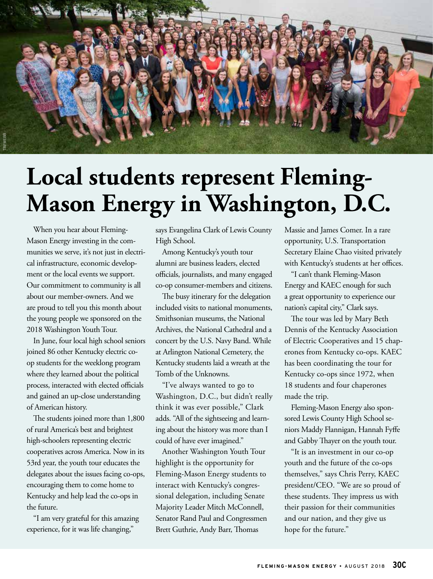

## **Local students represent Fleming-Mason Energy in Washington, D.C.**

When you hear about Fleming-Mason Energy investing in the communities we serve, it's not just in electrical infrastructure, economic development or the local events we support. Our commitment to community is all about our member-owners. And we are proud to tell you this month about the young people we sponsored on the 2018 Washington Youth Tour.

In June, four local high school seniors joined 86 other Kentucky electric coop students for the weeklong program where they learned about the political process, interacted with elected officials and gained an up-close understanding of American history.

The students joined more than 1,800 of rural America's best and brightest high-schoolers representing electric cooperatives across America. Now in its 53rd year, the youth tour educates the delegates about the issues facing co-ops, encouraging them to come home to Kentucky and help lead the co-ops in the future.

"I am very grateful for this amazing experience, for it was life changing,"

says Evangelina Clark of Lewis County High School.

Among Kentucky's youth tour alumni are business leaders, elected officials, journalists, and many engaged co-op consumer-members and citizens.

The busy itinerary for the delegation included visits to national monuments, Smithsonian museums, the National Archives, the National Cathedral and a concert by the U.S. Navy Band. While at Arlington National Cemetery, the Kentucky students laid a wreath at the Tomb of the Unknowns.

"I've always wanted to go to Washington, D.C., but didn't really think it was ever possible," Clark adds. "All of the sightseeing and learning about the history was more than I could of have ever imagined."

Another Washington Youth Tour highlight is the opportunity for Fleming-Mason Energy students to interact with Kentucky's congressional delegation, including Senate Majority Leader Mitch McConnell, Senator Rand Paul and Congressmen Brett Guthrie, Andy Barr, Thomas

Massie and James Comer. In a rare opportunity, U.S. Transportation Secretary Elaine Chao visited privately with Kentucky's students at her offices.

"I can't thank Fleming-Mason Energy and KAEC enough for such a great opportunity to experience our nation's capital city," Clark says.

The tour was led by Mary Beth Dennis of the Kentucky Association of Electric Cooperatives and 15 chaperones from Kentucky co-ops. KAEC has been coordinating the tour for Kentucky co-ops since 1972, when 18 students and four chaperones made the trip.

Fleming-Mason Energy also sponsored Lewis County High School seniors Maddy Flannigan, Hannah Fyffe and Gabby Thayer on the youth tour.

"It is an investment in our co-op youth and the future of the co-ops themselves," says Chris Perry, KAEC president/CEO. "We are so proud of these students. They impress us with their passion for their communities and our nation, and they give us hope for the future."